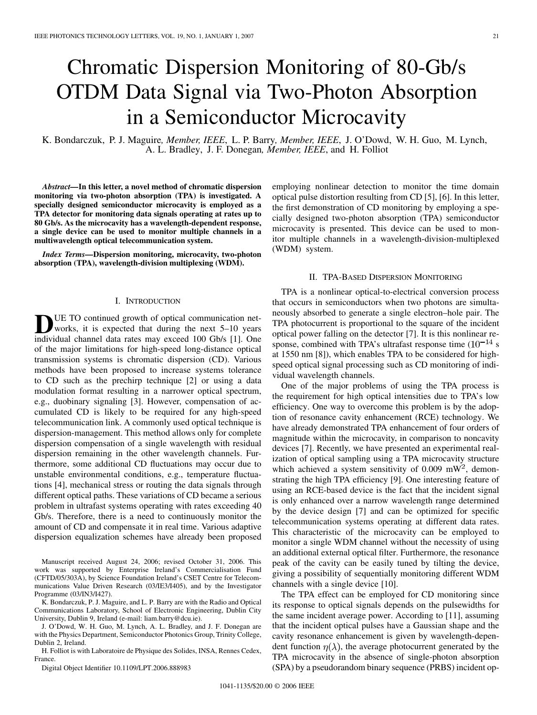# Chromatic Dispersion Monitoring of 80-Gb/s OTDM Data Signal via Two-Photon Absorption in a Semiconductor Microcavity

K. Bondarczuk, P. J. Maguire*, Member, IEEE*, L. P. Barry*, Member, IEEE*, J. O'Dowd, W. H. Guo, M. Lynch, A. L. Bradley, J. F. Donegan*, Member, IEEE*, and H. Folliot

*Abstract—***In this letter, a novel method of chromatic dispersion monitoring via two-photon absorption (TPA) is investigated. A specially designed semiconductor microcavity is employed as a TPA detector for monitoring data signals operating at rates up to 80 Gb/s. As the microcavity has a wavelength-dependent response, a single device can be used to monitor multiple channels in a multiwavelength optical telecommunication system.**

*Index Terms—***Dispersion monitoring, microcavity, two-photon absorption (TPA), wavelength-division multiplexing (WDM).**

#### I. INTRODUCTION

UE TO continued growth of optical communication networks, it is expected that during the next 5–10 years individual channel data rates may exceed 100 Gb/s [\[1\]](#page-2-0). One of the major limitations for high-speed long-distance optical transmission systems is chromatic dispersion (CD). Various methods have been proposed to increase systems tolerance to CD such as the prechirp technique [\[2\]](#page-2-0) or using a data modulation format resulting in a narrower optical spectrum, e.g., duobinary signaling [\[3\]](#page-2-0). However, compensation of accumulated CD is likely to be required for any high-speed telecommunication link. A commonly used optical technique is dispersion-management. This method allows only for complete dispersion compensation of a single wavelength with residual dispersion remaining in the other wavelength channels. Furthermore, some additional CD fluctuations may occur due to unstable environmental conditions, e.g., temperature fluctuations [\[4\],](#page-2-0) mechanical stress or routing the data signals through different optical paths. These variations of CD became a serious problem in ultrafast systems operating with rates exceeding 40 Gb/s. Therefore, there is a need to continuously monitor the amount of CD and compensate it in real time. Various adaptive dispersion equalization schemes have already been proposed

Manuscript received August 24, 2006; revised October 31, 2006. This work was supported by Enterprise Ireland's Commercialisation Fund (CFTD/05/303A), by Science Foundation Ireland's CSET Centre for Telecommunications Value Driven Research (03/IE3/I405), and by the Investigator Programme (03/IN3/I427).

K. Bondarczuk, P. J. Maguire, and L. P. Barry are with the Radio and Optical Communications Laboratory, School of Electronic Engineering, Dublin City University, Dublin 9, Ireland (e-mail: liam.barry@dcu.ie).

J. O'Dowd, W. H. Guo, M. Lynch, A. L. Bradley, and J. F. Donegan are with the Physics Department, Semiconductor Photonics Group, Trinity College, Dublin 2, Ireland.

H. Folliot is with Laboratoire de Physique des Solides, INSA, Rennes Cedex, France.

Digital Object Identifier 10.1109/LPT.2006.888983

employing nonlinear detection to monitor the time domain optical pulse distortion resulting from CD [\[5\]](#page-2-0), [\[6\]](#page-2-0). In this letter, the first demonstration of CD monitoring by employing a specially designed two-photon absorption (TPA) semiconductor microcavity is presented. This device can be used to monitor multiple channels in a wavelength-division-multiplexed (WDM) system.

### II. TPA-BASED DISPERSION MONITORING

TPA is a nonlinear optical-to-electrical conversion process that occurs in semiconductors when two photons are simultaneously absorbed to generate a single electron–hole pair. The TPA photocurrent is proportional to the square of the incident optical power falling on the detector [\[7\].](#page-2-0) It is this nonlinear response, combined with TPA's ultrafast response time  $(10^{-14}$  s at 1550 nm [\[8\]](#page-2-0)), which enables TPA to be considered for highspeed optical signal processing such as CD monitoring of individual wavelength channels.

One of the major problems of using the TPA process is the requirement for high optical intensities due to TPA's low efficiency. One way to overcome this problem is by the adoption of resonance cavity enhancement (RCE) technology. We have already demonstrated TPA enhancement of four orders of magnitude within the microcavity, in comparison to noncavity devices [\[7\]](#page-2-0). Recently, we have presented an experimental realization of optical sampling using a TPA microcavity structure which achieved a system sensitivity of 0.009 mW<sup>2</sup>, demonstrating the high TPA efficiency [\[9\].](#page-2-0) One interesting feature of using an RCE-based device is the fact that the incident signal is only enhanced over a narrow wavelength range determined by the device design [\[7\]](#page-2-0) and can be optimized for specific telecommunication systems operating at different data rates. This characteristic of the microcavity can be employed to monitor a single WDM channel without the necessity of using an additional external optical filter. Furthermore, the resonance peak of the cavity can be easily tuned by tilting the device, giving a possibility of sequentially monitoring different WDM channels with a single device [\[10\]](#page-2-0).

The TPA effect can be employed for CD monitoring since its response to optical signals depends on the pulsewidths for the same incident average power. According to [\[11\]](#page-2-0), assuming that the incident optical pulses have a Gaussian shape and the cavity resonance enhancement is given by wavelength-dependent function  $\eta(\lambda)$ , the average photocurrent generated by the TPA microcavity in the absence of single-photon absorption (SPA) by a pseudorandom binary sequence (PRBS) incident op-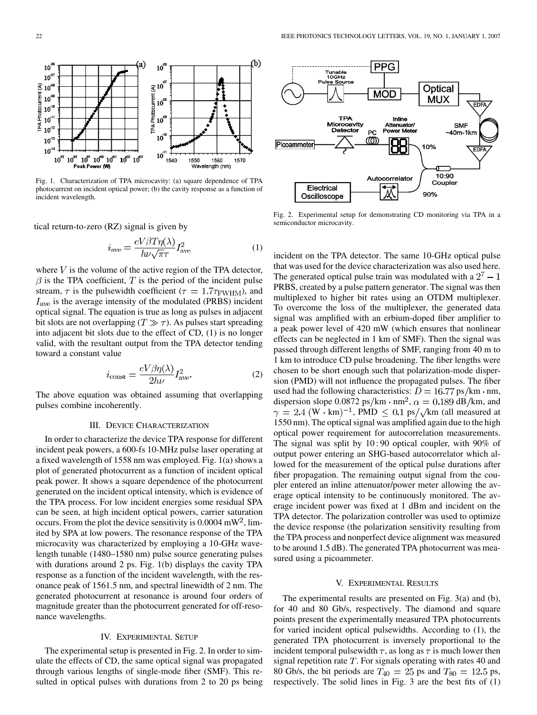<span id="page-1-0"></span>

Fig. 1. Characterization of TPA microcavity: (a) square dependence of TPA photocurrent on incident optical power; (b) the cavity response as a function of incident wavelength.

tical return-to-zero (RZ) signal is given by

$$
i_{\text{ave}} = \frac{eV\beta T\eta(\lambda)}{h\nu\sqrt{\pi}\tau}I_{\text{ave}}^2
$$
 (1)

where  $V$  is the volume of the active region of the TPA detector,  $\beta$  is the TPA coefficient, T is the period of the incident pulse stream,  $\tau$  is the pulsewidth coefficient ( $\tau = 1.7\tau_{\text{FWHM}}$ ), and  $I_{\text{ave}}$  is the average intensity of the modulated (PRBS) incident optical signal. The equation is true as long as pulses in adjacent bit slots are not overlapping  $(T \gg \tau)$ . As pulses start spreading into adjacent bit slots due to the effect of CD, (1) is no longer valid, with the resultant output from the TPA detector tending toward a constant value

$$
i_{\text{const}} = \frac{eV\beta\eta(\lambda)}{2h\nu}I_{\text{ave}}^2.
$$
 (2)

The above equation was obtained assuming that overlapping pulses combine incoherently.

#### III. DEVICE CHARACTERIZATION

In order to characterize the device TPA response for different incident peak powers, a 600-fs 10-MHz pulse laser operating at a fixed wavelength of 1558 nm was employed. Fig. 1(a) shows a plot of generated photocurrent as a function of incident optical peak power. It shows a square dependence of the photocurrent generated on the incident optical intensity, which is evidence of the TPA process. For low incident energies some residual SPA can be seen, at high incident optical powers, carrier saturation occurs. From the plot the device sensitivity is  $0.0004$  mW<sup>2</sup>, limited by SPA at low powers. The resonance response of the TPA microcavity was characterized by employing a 10-GHz wavelength tunable (1480–1580 nm) pulse source generating pulses with durations around 2 ps. Fig. 1(b) displays the cavity TPA response as a function of the incident wavelength, with the resonance peak of 1561.5 nm, and spectral linewidth of 2 nm. The generated photocurrent at resonance is around four orders of magnitude greater than the photocurrent generated for off-resonance wavelengths.

# IV. EXPERIMENTAL SETUP

The experimental setup is presented in Fig. 2. In order to simulate the effects of CD, the same optical signal was propagated through various lengths of single-mode fiber (SMF). This resulted in optical pulses with durations from 2 to 20 ps being



Fig. 2. Experimental setup for demonstrating CD monitoring via TPA in a semiconductor microcavity.

incident on the TPA detector. The same 10-GHz optical pulse that was used for the device characterization was also used here. The generated optical pulse train was modulated with a  $2^7 - 1$ PRBS, created by a pulse pattern generator. The signal was then multiplexed to higher bit rates using an OTDM multiplexer. To overcome the loss of the multiplexer, the generated data signal was amplified with an erbium-doped fiber amplifier to a peak power level of 420 mW (which ensures that nonlinear effects can be neglected in 1 km of SMF). Then the signal was passed through different lengths of SMF, ranging from 40 m to 1 km to introduce CD pulse broadening. The fiber lengths were chosen to be short enough such that polarization-mode dispersion (PMD) will not influence the propagated pulses. The fiber used had the following characteristics:  $D = 16.77 \text{ ps/km} \cdot \text{nm}$ , dispersion slope 0.0872 ps/km  $\cdot$  nm<sup>2</sup>,  $\alpha = 0.189$  dB/km, and  $\gamma = 2.4$  (W · km)<sup>-1</sup>, PMD  $\leq 0.1$  ps/ $\sqrt{\text{km}}$  (all measured at 1550 nm). The optical signal was amplified again due to the high optical power requirement for autocorrelation measurements. The signal was split by 10:90 optical coupler, with 90% of output power entering an SHG-based autocorrelator which allowed for the measurement of the optical pulse durations after fiber propagation. The remaining output signal from the coupler entered an inline attenuator/power meter allowing the average optical intensity to be continuously monitored. The average incident power was fixed at 1 dBm and incident on the TPA detector. The polarization controller was used to optimize the device response (the polarization sensitivity resulting from the TPA process and nonperfect device alignment was measured to be around 1.5 dB). The generated TPA photocurrent was measured using a picoammeter.

### V. EXPERIMENTAL RESULTS

The experimental results are presented on [Fig. 3\(a\) and \(b\)](#page-2-0), for 40 and 80 Gb/s, respectively. The diamond and square points present the experimentally measured TPA photocurrents for varied incident optical pulsewidths. According to (1), the generated TPA photocurrent is inversely proportional to the incident temporal pulsewidth  $\tau$ , as long as  $\tau$  is much lower then signal repetition rate  $T$ . For signals operating with rates 40 and 80 Gb/s, the bit periods are  $T_{40} = 25$  ps and  $T_{80} = 12.5$  ps, respectively. The solid lines in [Fig. 3](#page-2-0) are the best fits of (1)